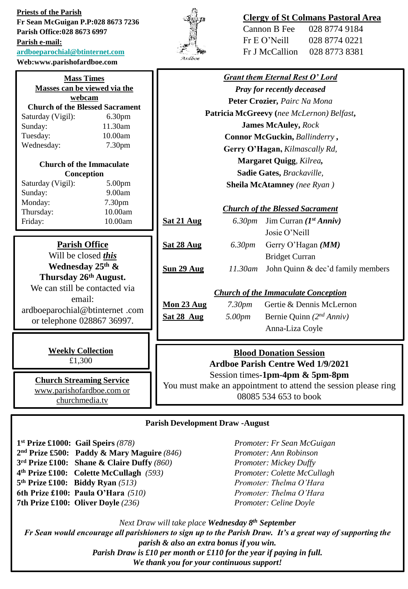**Priests of the Parish Fr Sean McGuigan P.P:028 8673 7236 Parish Office:028 8673 6997 Parish e-mail: [ardboeparochial@btinternet.com](mailto:ardboeparochial@btinternet.com)**

**Web:www.parishofardboe.com**



# **Clergy of St Colmans Pastoral Area**

| Cannon B Fee   | 028 8774 9184 |
|----------------|---------------|
| Fr E O' Neill  | 028 8774 0221 |
| Fr J McCallion | 028 8773 8381 |

| <b>Mass Times</b>                                            |                                                              | <b>Grant them Eternal Rest O' Lord</b>                                    |                                           |                                   |  |
|--------------------------------------------------------------|--------------------------------------------------------------|---------------------------------------------------------------------------|-------------------------------------------|-----------------------------------|--|
| Masses can be viewed via the                                 |                                                              | <b>Pray for recently deceased</b>                                         |                                           |                                   |  |
| webcam                                                       |                                                              | Peter Crozier, Pairc Na Mona                                              |                                           |                                   |  |
| Saturday (Vigil):                                            | <b>Church of the Blessed Sacrament</b><br>6.30 <sub>pm</sub> |                                                                           | Patricia McGreevy (nee McLernon) Belfast, |                                   |  |
| Sunday:                                                      | 11.30am                                                      | <b>James McAuley, Rock</b>                                                |                                           |                                   |  |
| Tuesday:                                                     | 10.00am                                                      | Connor McGuckin, Ballinderry,                                             |                                           |                                   |  |
| Wednesday:                                                   | 7.30 <sub>pm</sub>                                           |                                                                           |                                           |                                   |  |
|                                                              |                                                              | Gerry O'Hagan, Kilmascally Rd,                                            |                                           |                                   |  |
| <b>Church of the Immaculate</b>                              |                                                              | Margaret Quigg, Kilrea,                                                   |                                           |                                   |  |
| Conception                                                   |                                                              | Sadie Gates, Brackaville,                                                 |                                           |                                   |  |
| Saturday (Vigil):                                            | 5.00pm                                                       |                                                                           | <b>Sheila McAtamney</b> (nee Ryan)        |                                   |  |
| Sunday:                                                      | 9.00am                                                       |                                                                           |                                           |                                   |  |
| Monday:                                                      | 7.30pm                                                       | <b>Church of the Blessed Sacrament</b>                                    |                                           |                                   |  |
| Thursday:                                                    | 10.00am                                                      |                                                                           | 6.30 <sub>pm</sub>                        | Jim Curran ( $Ist Anniv$ )        |  |
| Friday:                                                      | 10.00am                                                      | Sat 21 Aug                                                                |                                           |                                   |  |
|                                                              |                                                              |                                                                           |                                           | Josie O'Neill                     |  |
| <b>Parish Office</b>                                         |                                                              | Sat 28 Aug                                                                | 6.30 <sub>pm</sub>                        | Gerry O'Hagan (MM)                |  |
| Will be closed this                                          |                                                              |                                                                           |                                           | <b>Bridget Curran</b>             |  |
| Wednesday 25th &                                             |                                                              | Sun 29 Aug                                                                | $11.30$ am                                | John Quinn & dec'd family members |  |
| Thursday 26th August.                                        |                                                              |                                                                           |                                           |                                   |  |
| We can still be contacted via                                |                                                              | <b>Church of the Immaculate Conception</b>                                |                                           |                                   |  |
| email:                                                       |                                                              | Mon 23 Aug                                                                | 7.30 <sub>pm</sub>                        | Gertie & Dennis McLernon          |  |
| ardboeparochial@btinternet.com                               |                                                              |                                                                           |                                           |                                   |  |
| or telephone 028867 36997.                                   |                                                              | Sat 28 Aug                                                                | 5.00pm                                    | Bernie Quinn $(2^{nd} Anniv)$     |  |
|                                                              |                                                              |                                                                           |                                           | Anna-Liza Coyle                   |  |
|                                                              |                                                              |                                                                           |                                           |                                   |  |
| <b>Weekly Collection</b>                                     |                                                              | <b>Blood Donation Session</b><br><b>Ardboe Parish Centre Wed 1/9/2021</b> |                                           |                                   |  |
| £1,300                                                       |                                                              |                                                                           |                                           |                                   |  |
|                                                              |                                                              | Session times-1pm-4pm & 5pm-8pm                                           |                                           |                                   |  |
| <b>Church Streaming Service</b><br>www.parishofardboe.com or |                                                              | You must make an appointment to attend the session please ring            |                                           |                                   |  |
| churchmedia.tv                                               |                                                              | 08085 534 653 to book                                                     |                                           |                                   |  |
|                                                              |                                                              |                                                                           |                                           |                                   |  |
|                                                              |                                                              |                                                                           |                                           |                                   |  |

### **Parish Development Draw -August**

 **st Prize £1000: Gail Speirs** *(878) Promoter: Fr Sean McGuigan* **nd Prize £500: Paddy & Mary Maguire** *(846) Promoter: Ann Robinson* **rd Prize £100: Shane & Claire Duffy** *(860) Promoter: Mickey Duffy* **th Prize £100: Colette McCullagh** *(593) Promoter: Colette McCullagh* **th Prize £100: Biddy Ryan** *(513) Promoter: Thelma O'Hara* **6th Prize £100: Paula O'Hara** *(510) Promoter: Thelma O'Hara* **7th Prize £100: Oliver Doyle** *(236) Promoter: Celine Doyle*

*Next Draw will take place Wednesday 8th September Fr Sean would encourage all parishioners to sign up to the Parish Draw. It's a great way of supporting the parish & also an extra bonus if you win. Parish Draw is £10 per month or £110 for the year if paying in full. We thank you for your continuous support!*